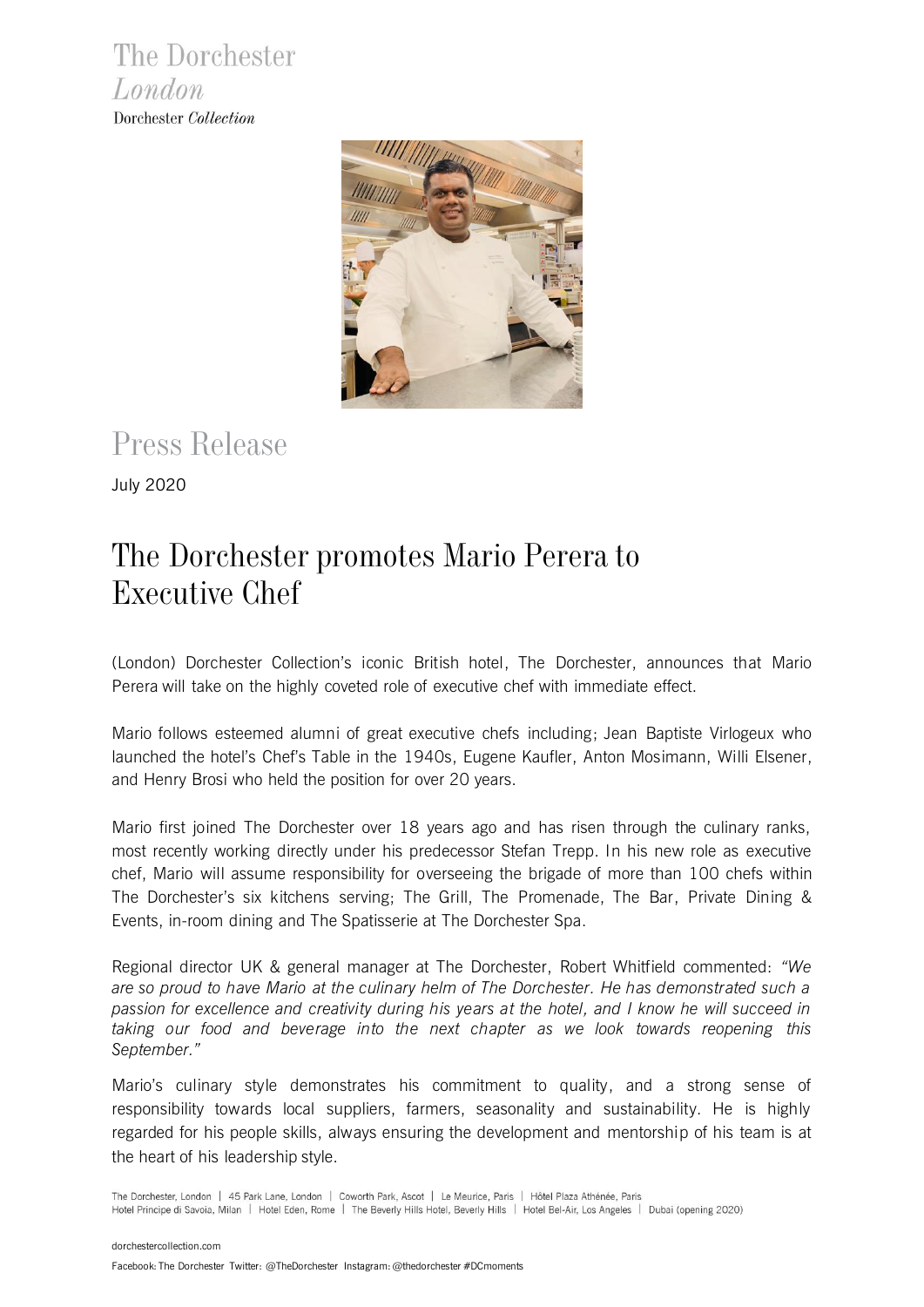The Dorchester London Dorchester Collection



# Press Release

July 2020

## The Dorchester promotes Mario Perera to Executive Chef

(London) Dorchester Collection's iconic British hotel, The Dorchester, announces that Mario Perera will take on the highly coveted role of executive chef with immediate effect.

Mario follows esteemed alumni of great executive chefs including; Jean Baptiste Virlogeux who launched the hotel's Chef's Table in the 1940s, Eugene Kaufler, Anton Mosimann, Willi Elsener, and Henry Brosi who held the position for over 20 years.

Mario first joined The Dorchester over 18 years ago and has risen through the culinary ranks, most recently working directly under his predecessor Stefan Trepp. In his new role as executive chef, Mario will assume responsibility for overseeing the brigade of more than 100 chefs within The Dorchester's six kitchens serving; The Grill, The Promenade, The Bar, Private Dining & Events, in-room dining and The Spatisserie at The Dorchester Spa.

Regional director UK & general manager at The Dorchester, Robert Whitfield commented: *"We are so proud to have Mario at the culinary helm of The Dorchester. He has demonstrated such a passion for excellence and creativity during his years at the hotel, and I know he will succeed in taking our food and beverage into the next chapter as we look towards reopening this September."*

Mario's culinary style demonstrates his commitment to quality, and a strong sense of responsibility towards local suppliers, farmers, seasonality and sustainability. He is highly regarded for his people skills, always ensuring the development and mentorship of his team is at the heart of his leadership style.

The Dorchester, London | 45 Park Lane, London | Coworth Park, Ascot | Le Meurice, Paris | Hôtel Plaza Athénée, Paris Hotel Principe di Savoia, Milan | Hotel Eden, Rome | The Beverly Hills Hotel, Beverly Hills | Hotel Bel-Air, Los Angeles | Dubai (opening 2020)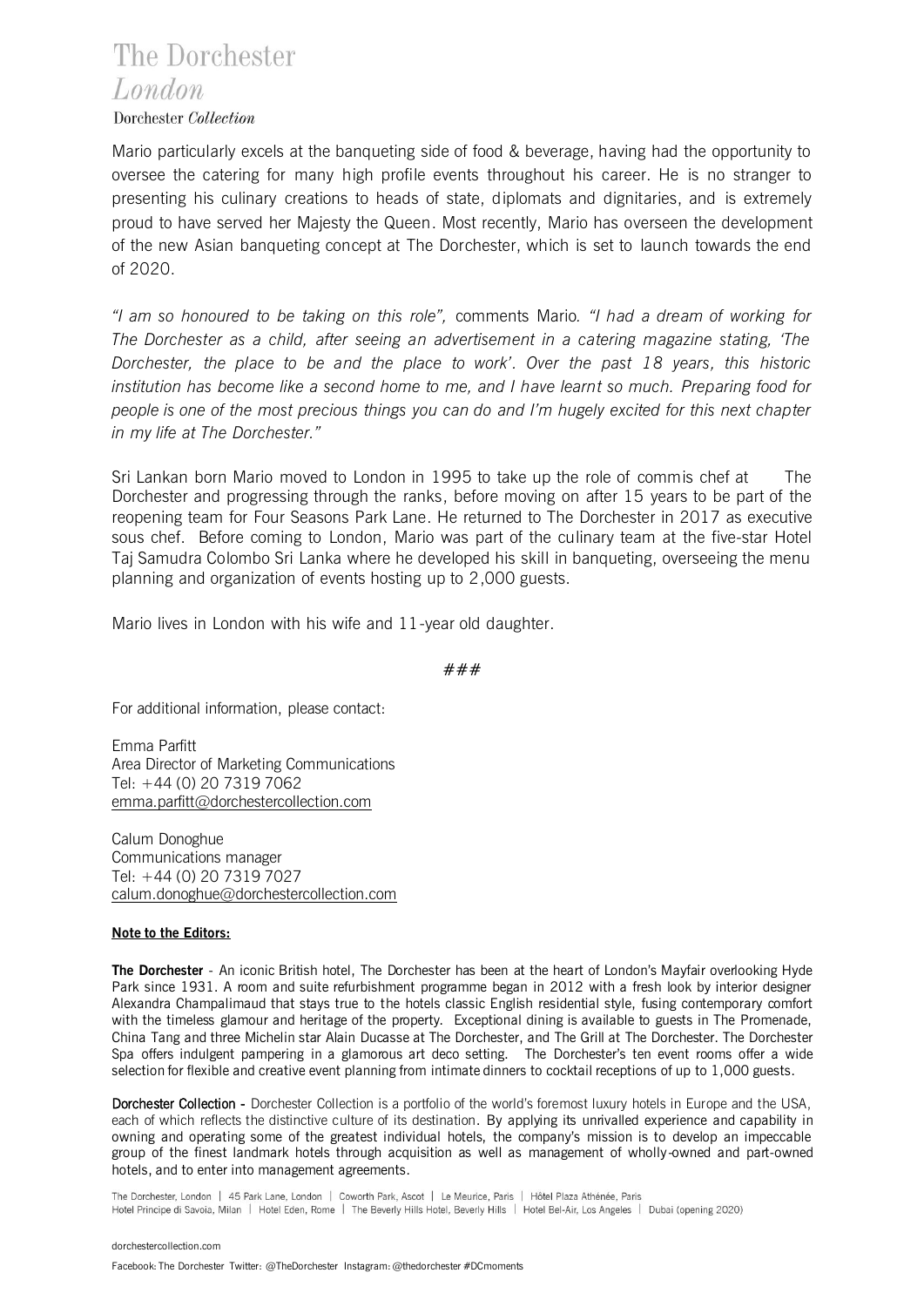## The Dorchester London

#### Dorchester Collection

Mario particularly excels at the banqueting side of food & beverage, having had the opportunity to oversee the catering for many high profile events throughout his career. He is no stranger to presenting his culinary creations to heads of state, diplomats and dignitaries, and is extremely proud to have served her Majesty the Queen. Most recently, Mario has overseen the development of the new Asian banqueting concept at The Dorchester, which is set to launch towards the end of 2020.

*"I am so honoured to be taking on this role",* comments Mario*. "I had a dream of working for The Dorchester as a child, after seeing an advertisement in a catering magazine stating, 'The Dorchester, the place to be and the place to work'. Over the past 18 years, this historic institution has become like a second home to me, and I have learnt so much. Preparing food for people is one of the most precious things you can do and I'm hugely excited for this next chapter in my life at The Dorchester."*

Sri Lankan born Mario moved to London in 1995 to take up the role of commis chef at The Dorchester and progressing through the ranks, before moving on after 15 years to be part of the reopening team for Four Seasons Park Lane. He returned to The Dorchester in 2017 as executive sous chef. Before coming to London, Mario was part of the culinary team at the five-star Hotel Taj Samudra Colombo Sri Lanka where he developed his skill in banqueting, overseeing the menu planning and organization of events hosting up to 2,000 guests.

Mario lives in London with his wife and 11-year old daughter.

###

For additional information, please contact:

Emma Parfitt Area Director of Marketing Communications Tel: +44 (0) 20 7319 7062 [emma.parfitt@dorchestercollection.com](mailto:emma.parfitt@dorchestercollection.com)

Calum Donoghue Communications manager Tel: +44 (0) 20 7319 7027 [calum.donoghue@dorchestercollection.com](mailto:calum.donoghue@dorchestercollection.com)

#### **Note to the Editors:**

**The Dorchester** - An iconic British hotel, The Dorchester has been at the heart of London's Mayfair overlooking Hyde Park since 1931. A room and suite refurbishment programme began in 2012 with a fresh look by interior designer Alexandra Champalimaud that stays true to the hotels classic English residential style, fusing contemporary comfort with the timeless glamour and heritage of the property. Exceptional dining is available to guests in The Promenade, China Tang and three Michelin star Alain Ducasse at The Dorchester, and The Grill at The Dorchester. The Dorchester Spa offers indulgent pampering in a glamorous art deco setting. The Dorchester's ten event rooms offer a wide selection for flexible and creative event planning from intimate dinners to cocktail receptions of up to 1,000 guests.

Dorchester Collection - Dorchester Collection is a portfolio of the world's foremost luxury hotels in Europe and the USA, each of which reflects the distinctive culture of its destination. By applying its unrivalled experience and capability in owning and operating some of the greatest individual hotels, the company's mission is to develop an impeccable group of the finest landmark hotels through acquisition as well as management of wholly-owned and part-owned hotels, and to enter into management agreements.

The Dorchester, London | 45 Park Lane, London | Coworth Park, Ascot | Le Meurice, Paris | Hôtel Plaza Athénée, Paris Hotel Principe di Savoia, Milan | Hotel Eden, Rome | The Beverly Hills Hotel, Beverly Hills | Hotel Bel-Air, Los Angeles | Dubai (opening 2020)

Facebook: The Dorchester Twitter: @TheDorchesterInstagram: @thedorchester #DCmoments